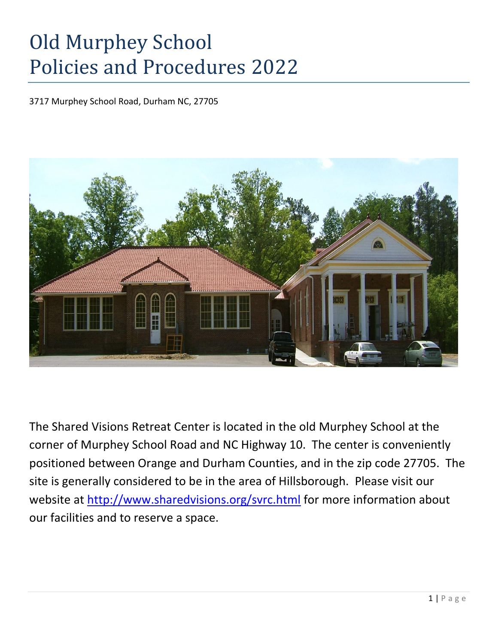# Old Murphey School Policies and Procedures 2022

3717 Murphey School Road, Durham NC, 27705



The Shared Visions Retreat Center is located in the old Murphey School at the corner of Murphey School Road and NC Highway 10. The center is conveniently positioned between Orange and Durham Counties, and in the zip code 27705. The site is generally considered to be in the area of Hillsborough. Please visit our website at<http://www.sharedvisions.org/svrc.html> for more information about our facilities and to reserve a space.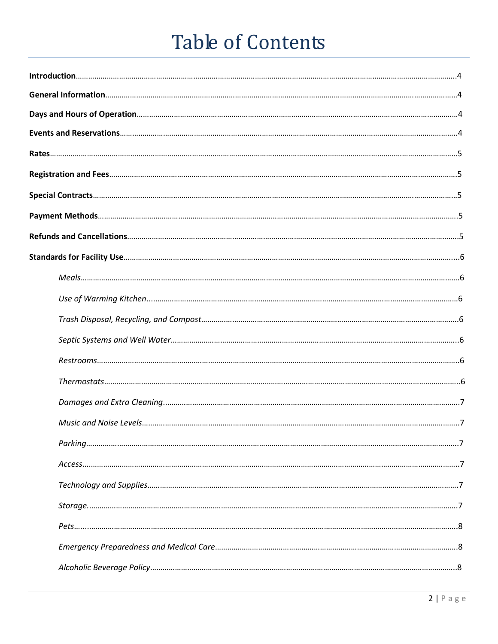# Table of Contents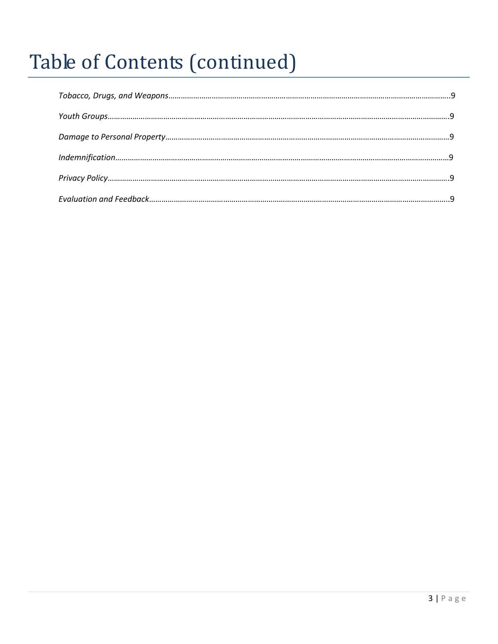# Table of Contents (continued)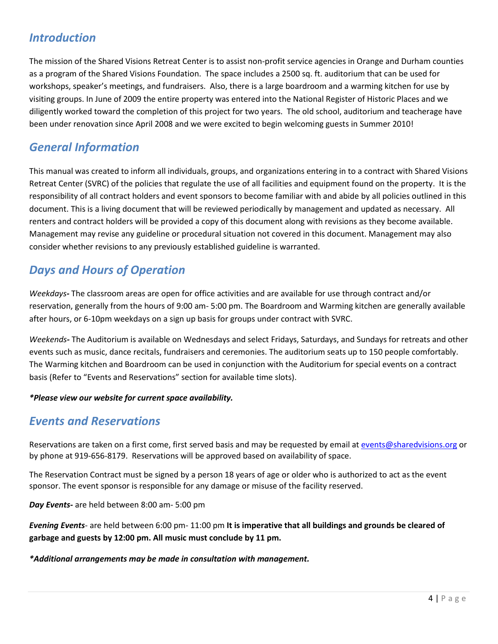# *Introduction*

The mission of the Shared Visions Retreat Center is to assist non-profit service agencies in Orange and Durham counties as a program of the Shared Visions Foundation. The space includes a 2500 sq. ft. auditorium that can be used for workshops, speaker's meetings, and fundraisers. Also, there is a large boardroom and a warming kitchen for use by visiting groups. In June of 2009 the entire property was entered into the National Register of Historic Places and we diligently worked toward the completion of this project for two years. The old school, auditorium and teacherage have been under renovation since April 2008 and we were excited to begin welcoming guests in Summer 2010!

# *General Information*

This manual was created to inform all individuals, groups, and organizations entering in to a contract with Shared Visions Retreat Center (SVRC) of the policies that regulate the use of all facilities and equipment found on the property. It is the responsibility of all contract holders and event sponsors to become familiar with and abide by all policies outlined in this document. This is a living document that will be reviewed periodically by management and updated as necessary. All renters and contract holders will be provided a copy of this document along with revisions as they become available. Management may revise any guideline or procedural situation not covered in this document. Management may also consider whether revisions to any previously established guideline is warranted.

# *Days and Hours of Operation*

*Weekdays-* The classroom areas are open for office activities and are available for use through contract and/or reservation, generally from the hours of 9:00 am- 5:00 pm. The Boardroom and Warming kitchen are generally available after hours, or 6-10pm weekdays on a sign up basis for groups under contract with SVRC.

*Weekends-* The Auditorium is available on Wednesdays and select Fridays, Saturdays, and Sundays for retreats and other events such as music, dance recitals, fundraisers and ceremonies. The auditorium seats up to 150 people comfortably. The Warming kitchen and Boardroom can be used in conjunction with the Auditorium for special events on a contract basis (Refer to "Events and Reservations" section for available time slots).

### *\*Please view our website for current space availability.*

## *Events and Reservations*

Reservations are taken on a first come, first served basis and may be requested by email at [events@sharedvisions.org](mailto:events@sharedvisions.org) or by phone at [919-656-8179.](tel:919-616-2190) Reservations will be approved based on availability of space.

The Reservation Contract must be signed by a person 18 years of age or older who is authorized to act as the event sponsor. The event sponsor is responsible for any damage or misuse of the facility reserved.

*Day Events-* are held between 8:00 am- 5:00 pm

*Evening Events-* are held between 6:00 pm- 11:00 pm **It is imperative that all buildings and grounds be cleared of garbage and guests by 12:00 pm. All music must conclude by 11 pm.**

*\*Additional arrangements may be made in consultation with management.*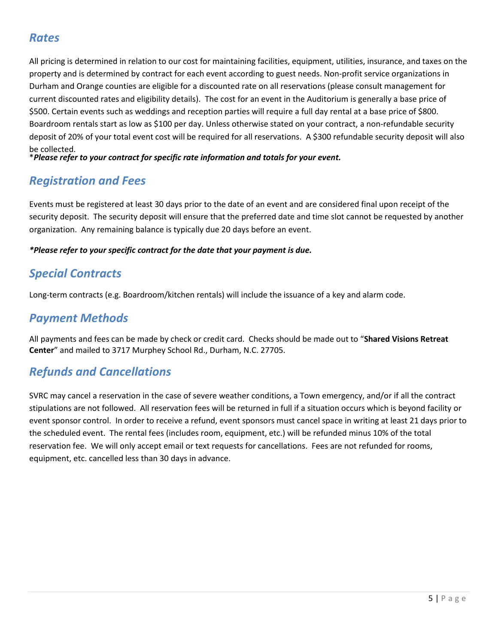# **Old Murphey School Policies and Procedures Q**

3717 Murphey School Road, Durham NC, 27705

The Shared Visions Retreat Center is located in the old Murphey School at the corner of Murphey School Road and NC Highway 10. The center is conveniently positioned between Orange and Durham Counties, and in the zip code 27705. The site is generally considered to be in the area of Hillsborough. Please visit our website at http://www.sharedvisions.org/svrc.html for more information about our facilities and to reserve a space.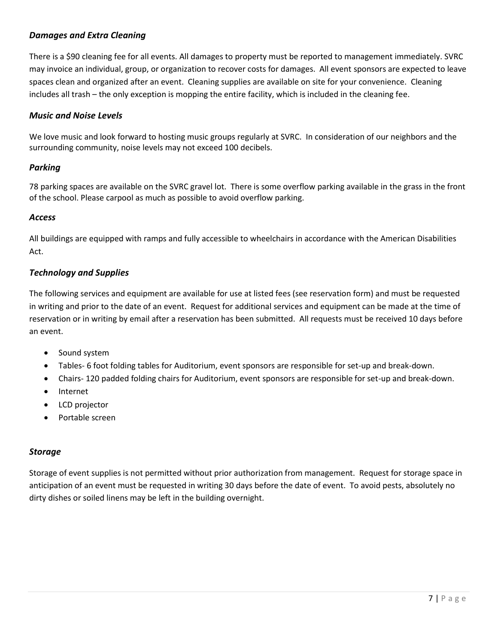## *Damages and Extra Cleaning*

There is a \$90 cleaning fee for all events. All damages to property must be reported to management immediately. SVRC may invoice an individual, group, or organization to recover costs for damages. All event sponsors are expected to leave spaces clean and organized after an event. Cleaning supplies are available on site for your convenience. Cleaning includes all trash – the only exception is mopping the entire facility, which is included in the cleaning fee.

#### *Music and Noise Levels*

We love music and look forward to hosting music groups regularly at SVRC. In consideration of our neighbors and the surrounding community, noise levels may not exceed 95 decibels.

#### *Parking*

78 parking spaces are available on the SVRC gravel lot. There is some overflow parking available in the grass in the front of the school. Please carpool as much as possible to avoid overflow parking.

#### *Access*

All buildings are equipped with ramps and fully accessible to wheelchairs in accordance with the American Disabilities Act.

#### *Technology and Supplies*

The following services and equipment are available for use at listed fees (see reservation form) and must be requested in writing and prior to the date of an event. Request for additional services and equipment can be made at the time of reservation or in writing by email after a reservation has been submitted. All requests must be received 10 days before an event.

- Sound system
- Tables- 6 foot folding tables for Auditorium, event sponsors are responsible for set-up and break-down.
- Chairs- 120 padded folding chairs for Auditorium, event sponsors are responsible for set-up and break-down.
- Internet

#### *Storage*

Storage of event supplies is not permitted without prior authorization from management. Request for storage space in anticipation of an event must be requested in writing 30 days before the date of event. To avoid pests, absolutely no dirty dishes or soiled linens may be left in the building overnight.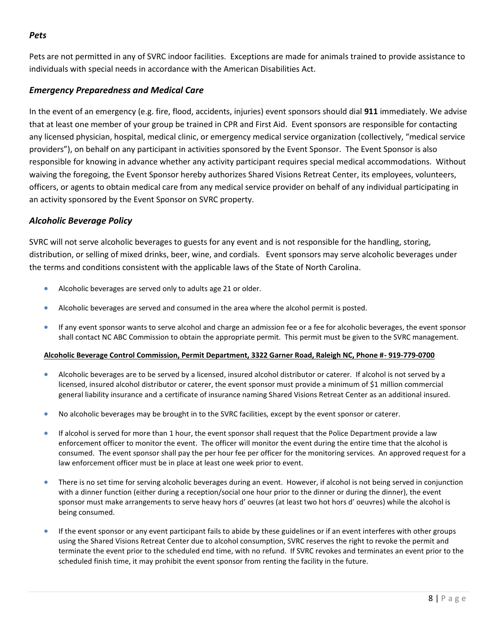### *Pets*

Pets are not permitted in any of SVRC indoor facilities. Exceptions are made for animals trained to provide assistance to individuals with special needs in accordance with the American Disabilities Act.

## *Emergency Preparedness and Medical Care*

In the event of an emergency (e.g. fire, flood, accidents, injuries) event sponsors should dial **911** immediately. We advise that at least one member of your group be trained in CPR and First Aid. Event sponsors are responsible for contacting any licensed physician, hospital, medical clinic, or emergency medical service organization (collectively, "medical service providers"), on behalf on any participant in activities sponsored by the Event Sponsor. The Event Sponsor is also responsible for knowing in advance whether any activity participant requires special medical accommodations. Without waiving the foregoing, the Event Sponsor hereby authorizes Shared Visions Retreat Center, its employees, volunteers, officers, or agents to obtain medical care from any medical service provider on behalf of any individual participating in an activity sponsored by the Event Sponsor on SVRC property.

### *Alcoholic Beverage Policy*

SVRC will not serve alcoholic beverages to guests for any event and is not responsible for the handling, storing, distribution, or selling of mixed drinks, beer, wine, and cordials. Event sponsors may serve alcoholic beverages under the terms and conditions consistent with the applicable laws of the State of North Carolina.

- Alcoholic beverages are served only to adults age 21 or older.
- Alcoholic beverages are served and consumed in the area where the alcohol permit is posted.
- If any event sponsor wants to serve alcohol and charge an admission fee or a fee for alcoholic beverages, the event sponsor shall contact NC ABC Commission to obtain the appropriate permit. This permit must be given to the SVRC management.

#### **Alcoholic Beverage Control Commission, Permit Department, 3322 Garner Road, Raleigh NC, Phone #- 919-779-0700**

- Alcoholic beverages are to be served by a licensed, insured alcohol distributor or caterer. If alcohol is not served by a licensed, insured alcohol distributor or caterer, the event sponsor must provide a minimum of \$1 million commercial general liability insurance and a certificate of insurance naming Shared Visions Retreat Center as an additional insured.
- No alcoholic beverages may be brought in to the SVRC facilities, except by the event sponsor or caterer.
- If alcohol is served for more than 1 hour, the event sponsor shall request that the Police Department provide a law enforcement officer to monitor the event. The officer will monitor the event during the entire time that the alcohol is consumed. The event sponsor shall pay the per hour fee per officer for the monitoring services. An approved request for a law enforcement officer must be in place at least one week prior to event.
- There is no set time for serving alcoholic beverages during an event. However, if alcohol is not being served in conjunction with a dinner function (either during a reception/social one hour prior to the dinner or during the dinner), the event sponsor must make arrangements to serve heavy hors d' oeuvres (at least two hot hors d' oeuvres) while the alcohol is being consumed.
- If the event sponsor or any event participant fails to abide by these guidelines or if an event interferes with other groups using the Shared Visions Retreat Center due to alcohol consumption, SVRC reserves the right to revoke the permit and terminate the event prior to the scheduled end time, with no refund. If SVRC revokes and terminates an event prior to the scheduled finish time, it may prohibit the event sponsor from renting the facility in the future.